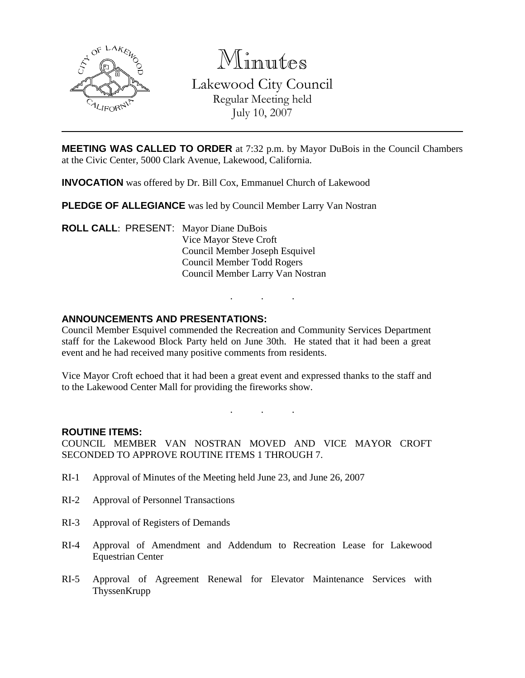

Minutes

Lakewood City Council Regular Meeting held July 10, 2007

**MEETING WAS CALLED TO ORDER** at 7:32 p.m. by Mayor DuBois in the Council Chambers at the Civic Center, 5000 Clark Avenue, Lakewood, California.

**INVOCATION** was offered by Dr. Bill Cox, Emmanuel Church of Lakewood

**PLEDGE OF ALLEGIANCE** was led by Council Member Larry Van Nostran

**ROLL CALL**: PRESENT: Mayor Diane DuBois Vice Mayor Steve Croft Council Member Joseph Esquivel Council Member Todd Rogers Council Member Larry Van Nostran

### **ANNOUNCEMENTS AND PRESENTATIONS:**

Council Member Esquivel commended the Recreation and Community Services Department staff for the Lakewood Block Party held on June 30th. He stated that it had been a great event and he had received many positive comments from residents.

. . .

Vice Mayor Croft echoed that it had been a great event and expressed thanks to the staff and to the Lakewood Center Mall for providing the fireworks show.

. . .

#### **ROUTINE ITEMS:**

COUNCIL MEMBER VAN NOSTRAN MOVED AND VICE MAYOR CROFT SECONDED TO APPROVE ROUTINE ITEMS 1 THROUGH 7.

- RI-1 Approval of Minutes of the Meeting held June 23, and June 26, 2007
- RI-2 Approval of Personnel Transactions
- RI-3 Approval of Registers of Demands
- RI-4 Approval of Amendment and Addendum to Recreation Lease for Lakewood Equestrian Center
- RI-5 Approval of Agreement Renewal for Elevator Maintenance Services with **ThyssenKrupp**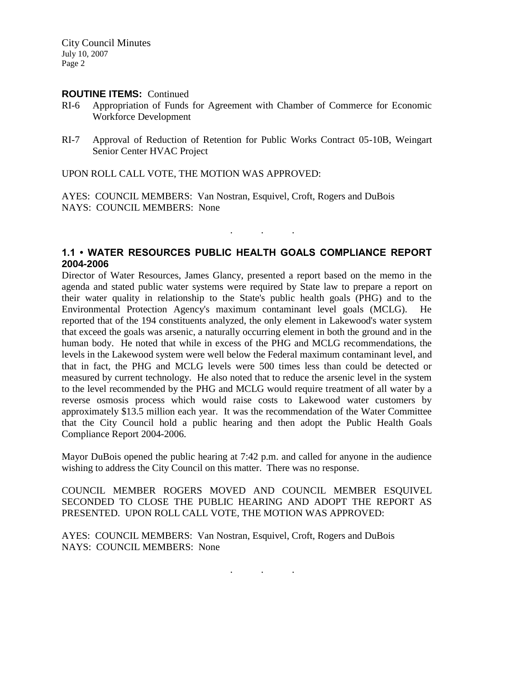#### **ROUTINE ITEMS:** Continued

- RI-6 Appropriation of Funds for Agreement with Chamber of Commerce for Economic Workforce Development
- RI-7 Approval of Reduction of Retention for Public Works Contract 05-10B, Weingart Senior Center HVAC Project

UPON ROLL CALL VOTE, THE MOTION WAS APPROVED:

AYES: COUNCIL MEMBERS: Van Nostran, Esquivel, Croft, Rogers and DuBois NAYS: COUNCIL MEMBERS: None

## **1.1 • WATER RESOURCES PUBLIC HEALTH GOALS COMPLIANCE REPORT 2004-2006**

. . .

Director of Water Resources, James Glancy, presented a report based on the memo in the agenda and stated public water systems were required by State law to prepare a report on their water quality in relationship to the State's public health goals (PHG) and to the Environmental Protection Agency's maximum contaminant level goals (MCLG). reported that of the 194 constituents analyzed, the only element in Lakewood's water system that exceed the goals was arsenic, a naturally occurring element in both the ground and in the human body. He noted that while in excess of the PHG and MCLG recommendations, the levels in the Lakewood system were well below the Federal maximum contaminant level, and that in fact, the PHG and MCLG levels were 500 times less than could be detected or measured by current technology. He also noted that to reduce the arsenic level in the system to the level recommended by the PHG and MCLG would require treatment of all water by a reverse osmosis process which would raise costs to Lakewood water customers by approximately \$13.5 million each year. It was the recommendation of the Water Committee that the City Council hold a public hearing and then adopt the Public Health Goals Compliance Report 2004-2006.

Mayor DuBois opened the public hearing at 7:42 p.m. and called for anyone in the audience wishing to address the City Council on this matter. There was no response.

COUNCIL MEMBER ROGERS MOVED AND COUNCIL MEMBER ESQUIVEL SECONDED TO CLOSE THE PUBLIC HEARING AND ADOPT THE REPORT AS PRESENTED. UPON ROLL CALL VOTE, THE MOTION WAS APPROVED:

AYES: COUNCIL MEMBERS: Van Nostran, Esquivel, Croft, Rogers and DuBois NAYS: COUNCIL MEMBERS: None

. . .